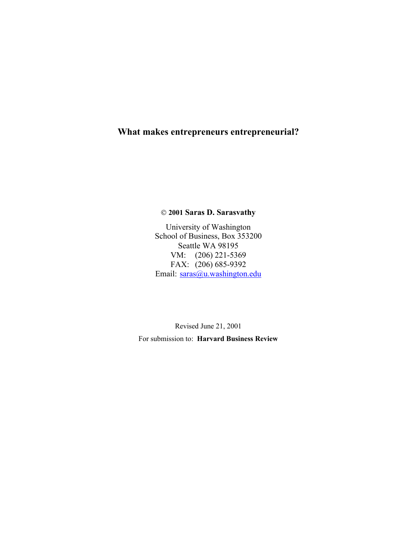# **What makes entrepreneurs entrepreneurial?**

# **2001 Saras D. Sarasvathy**

University of Washington School of Business, Box 353200 Seattle WA 98195 VM: (206) 221-5369 FAX: (206) 685-9392 Email: saras@u.washington.edu

Revised June 21, 2001 For submission to: **Harvard Business Review**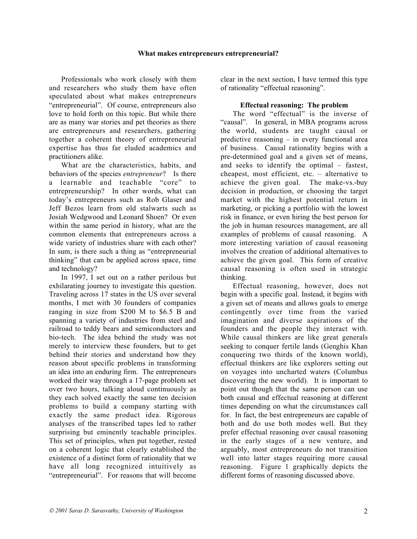#### **What makes entrepreneurs entrepreneurial?**

Professionals who work closely with them and researchers who study them have often speculated about what makes entrepreneurs "entrepreneurial". Of course, entrepreneurs also love to hold forth on this topic. But while there are as many war stories and pet theories as there are entrepreneurs and researchers, gathering together a coherent theory of entrepreneurial expertise has thus far eluded academics and practitioners alike.

What are the characteristics, habits, and behaviors of the species *entrepreneur*? Is there a learnable and teachable "core" to entrepreneurship? In other words, what can today's entrepreneurs such as Rob Glaser and Jeff Bezos learn from old stalwarts such as Josiah Wedgwood and Leonard Shoen? Or even within the same period in history, what are the common elements that entrepreneurs across a wide variety of industries share with each other? In sum, is there such a thing as "entrepreneurial thinking" that can be applied across space, time and technology?

In 1997, I set out on a rather perilous but exhilarating journey to investigate this question. Traveling across 17 states in the US over several months, I met with 30 founders of companies ranging in size from \$200 M to \$6.5 B and spanning a variety of industries from steel and railroad to teddy bears and semiconductors and bio-tech. The idea behind the study was not merely to interview these founders, but to get behind their stories and understand how they reason about specific problems in transforming an idea into an enduring firm. The entrepreneurs worked their way through a 17-page problem set over two hours, talking aloud continuously as they each solved exactly the same ten decision problems to build a company starting with exactly the same product idea. Rigorous analyses of the transcribed tapes led to rather surprising but eminently teachable principles. This set of principles, when put together, rested on a coherent logic that clearly established the existence of a distinct form of rationality that we have all long recognized intuitively as "entrepreneurial". For reasons that will become

clear in the next section, I have termed this type of rationality "effectual reasoning".

### **Effectual reasoning: The problem**

The word "effectual" is the inverse of "causal". In general, in MBA programs across the world, students are taught causal or predictive reasoning – in every functional area of business. Causal rationality begins with a pre-determined goal and a given set of means, and seeks to identify the optimal – fastest, cheapest, most efficient, etc. – alternative to achieve the given goal. The make-vs.-buy decision in production, or choosing the target market with the highest potential return in marketing, or picking a portfolio with the lowest risk in finance, or even hiring the best person for the job in human resources management, are all examples of problems of causal reasoning. A more interesting variation of causal reasoning involves the creation of additional alternatives to achieve the given goal. This form of creative causal reasoning is often used in strategic thinking.

Effectual reasoning, however, does not begin with a specific goal. Instead, it begins with a given set of means and allows goals to emerge contingently over time from the varied imagination and diverse aspirations of the founders and the people they interact with. While causal thinkers are like great generals seeking to conquer fertile lands (Genghis Khan conquering two thirds of the known world), effectual thinkers are like explorers setting out on voyages into uncharted waters (Columbus discovering the new world). It is important to point out though that the same person can use both causal and effectual reasoning at different times depending on what the circumstances call for. In fact, the best entrepreneurs are capable of both and do use both modes well. But they prefer effectual reasoning over causal reasoning in the early stages of a new venture, and arguably, most entrepreneurs do not transition well into latter stages requiring more causal reasoning. Figure 1 graphically depicts the different forms of reasoning discussed above.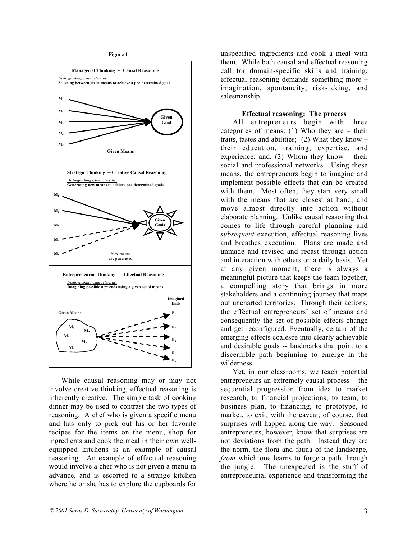

While causal reasoning may or may not involve creative thinking, effectual reasoning is inherently creative. The simple task of cooking dinner may be used to contrast the two types of reasoning. A chef who is given a specific menu and has only to pick out his or her favorite recipes for the items on the menu, shop for ingredients and cook the meal in their own wellequipped kitchens is an example of causal reasoning. An example of effectual reasoning would involve a chef who is not given a menu in advance, and is escorted to a strange kitchen where he or she has to explore the cupboards for

unspecified ingredients and cook a meal with them. While both causal and effectual reasoning call for domain-specific skills and training, effectual reasoning demands something more – imagination, spontaneity, risk-taking, and salesmanship.

#### **Effectual reasoning: The process**

All entrepreneurs begin with three categories of means:  $(1)$  Who they are – their traits, tastes and abilities; (2) What they know  $$ their education, training, expertise, and experience; and, (3) Whom they know – their social and professional networks. Using these means, the entrepreneurs begin to imagine and implement possible effects that can be created with them. Most often, they start very small with the means that are closest at hand, and move almost directly into action without elaborate planning. Unlike causal reasoning that comes to life through careful planning and *subsequent* execution, effectual reasoning lives and breathes execution. Plans are made and unmade and revised and recast through action and interaction with others on a daily basis. Yet at any given moment, there is always a meaningful picture that keeps the team together, a compelling story that brings in more stakeholders and a continuing journey that maps out uncharted territories. Through their actions, the effectual entrepreneurs' set of means and consequently the set of possible effects change and get reconfigured. Eventually, certain of the emerging effects coalesce into clearly achievable and desirable goals -- landmarks that point to a discernible path beginning to emerge in the wilderness.

Yet, in our classrooms, we teach potential entrepreneurs an extremely causal process – the sequential progression from idea to market research, to financial projections, to team, to business plan, to financing, to prototype, to market, to exit, with the caveat, of course, that surprises will happen along the way. Seasoned entrepreneurs, however, know that surprises are not deviations from the path. Instead they are the norm, the flora and fauna of the landscape, *from* which one learns to forge a path through the jungle. The unexpected is the stuff of entrepreneurial experience and transforming the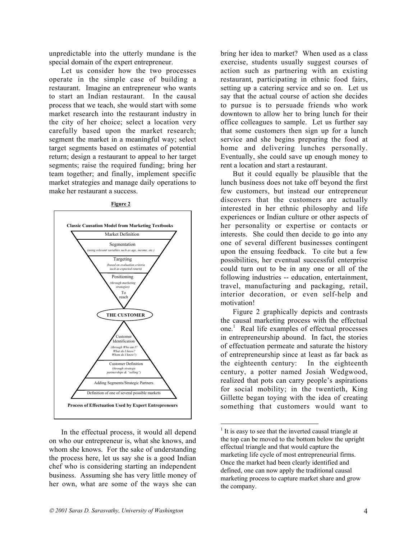unpredictable into the utterly mundane is the special domain of the expert entrepreneur.

Let us consider how the two processes operate in the simple case of building a restaurant. Imagine an entrepreneur who wants to start an Indian restaurant. In the causal process that we teach, she would start with some market research into the restaurant industry in the city of her choice; select a location very carefully based upon the market research; segment the market in a meaningful way; select target segments based on estimates of potential return; design a restaurant to appeal to her target segments; raise the required funding; bring her team together; and finally, implement specific market strategies and manage daily operations to make her restaurant a success.



**Figure 2**

In the effectual process, it would all depend on who our entrepreneur is, what she knows, and whom she knows. For the sake of understanding the process here, let us say she is a good Indian chef who is considering starting an independent business. Assuming she has very little money of her own, what are some of the ways she can

bring her idea to market? When used as a class exercise, students usually suggest courses of action such as partnering with an existing restaurant, participating in ethnic food fairs, setting up a catering service and so on. Let us say that the actual course of action she decides to pursue is to persuade friends who work downtown to allow her to bring lunch for their office colleagues to sample. Let us further say that some customers then sign up for a lunch service and she begins preparing the food at home and delivering lunches personally. Eventually, she could save up enough money to rent a location and start a restaurant.

But it could equally be plausible that the lunch business does not take off beyond the first few customers, but instead our entrepreneur discovers that the customers are actually interested in her ethnic philosophy and life experiences or Indian culture or other aspects of her personality or expertise or contacts or interests. She could then decide to go into any one of several different businesses contingent upon the ensuing feedback. To cite but a few possibilities, her eventual successful enterprise could turn out to be in any one or all of the following industries -- education, entertainment, travel, manufacturing and packaging, retail, interior decoration, or even self-help and motivation!

Figure 2 graphically depicts and contrasts the causal marketing process with the effectual one. 1 Real life examples of effectual processes in entrepreneurship abound. In fact, the stories of effectuation permeate and saturate the history of entrepreneurship since at least as far back as the eighteenth century: In the eighteenth century, a potter named Josiah Wedgwood, realized that pots can carry people's aspirations for social mobility; in the twentieth, King Gillette began toying with the idea of creating something that customers would want to

<sup>&</sup>lt;sup>1</sup> It is easy to see that the inverted causal triangle at the top can be moved to the bottom below the upright effectual triangle and that would capture the marketing life cycle of most entrepreneurial firms. Once the market had been clearly identified and defined, one can now apply the traditional causal marketing process to capture market share and grow the company.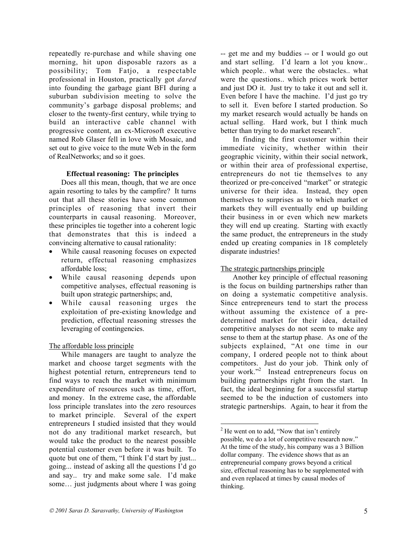repeatedly re-purchase and while shaving one morning, hit upon disposable razors as a possibility; Tom Fatjo, a respectable professional in Houston, practically got *dared* into founding the garbage giant BFI during a suburban subdivision meeting to solve the community's garbage disposal problems; and closer to the twenty-first century, while trying to build an interactive cable channel with progressive content, an ex-Microsoft executive named Rob Glaser fell in love with Mosaic, and set out to give voice to the mute Web in the form of RealNetworks; and so it goes.

### **Effectual reasoning: The principles**

Does all this mean, though, that we are once again resorting to tales by the campfire? It turns out that all these stories have some common principles of reasoning that invert their counterparts in causal reasoning. Moreover, these principles tie together into a coherent logic that demonstrates that this is indeed a convincing alternative to causal rationality:

- While causal reasoning focuses on expected return, effectual reasoning emphasizes affordable loss;
- While causal reasoning depends upon competitive analyses, effectual reasoning is built upon strategic partnerships; and,
- While causal reasoning urges the exploitation of pre-existing knowledge and prediction, effectual reasoning stresses the leveraging of contingencies.

## The affordable loss principle

While managers are taught to analyze the market and choose target segments with the highest potential return, entrepreneurs tend to find ways to reach the market with minimum expenditure of resources such as time, effort, and money. In the extreme case, the affordable loss principle translates into the zero resources to market principle. Several of the expert entrepreneurs I studied insisted that they would not do any traditional market research, but would take the product to the nearest possible potential customer even before it was built. To quote but one of them, "I think I'd start by just... going... instead of asking all the questions I'd go and say.. try and make some sale. I'd make some… just judgments about where I was going -- get me and my buddies -- or I would go out and start selling. I'd learn a lot you know.. which people.. what were the obstacles.. what were the questions.. which prices work better and just DO it. Just try to take it out and sell it. Even before I have the machine. I'd just go try to sell it. Even before I started production. So my market research would actually be hands on actual selling. Hard work, but I think much better than trying to do market research".

In finding the first customer within their immediate vicinity, whether within their geographic vicinity, within their social network, or within their area of professional expertise, entrepreneurs do not tie themselves to any theorized or pre-conceived "market" or strategic universe for their idea. Instead, they open themselves to surprises as to which market or markets they will eventually end up building their business in or even which new markets they will end up creating. Starting with exactly the same product, the entrepreneurs in the study ended up creating companies in 18 completely disparate industries!

## The strategic partnerships principle

Another key principle of effectual reasoning is the focus on building partnerships rather than on doing a systematic competitive analysis. Since entrepreneurs tend to start the process without assuming the existence of a predetermined market for their idea, detailed competitive analyses do not seem to make any sense to them at the startup phase. As one of the subjects explained, "At one time in our company, I ordered people not to think about competitors. Just do your job. Think only of your work."2 Instead entrepreneurs focus on building partnerships right from the start. In fact, the ideal beginning for a successful startup seemed to be the induction of customers into strategic partnerships. Again, to hear it from the

l

 $2^2$  He went on to add, "Now that isn't entirely possible, we do a lot of competitive research now." At the time of the study, his company was a 3 Billion dollar company. The evidence shows that as an entrepreneurial company grows beyond a critical size, effectual reasoning has to be supplemented with and even replaced at times by causal modes of thinking.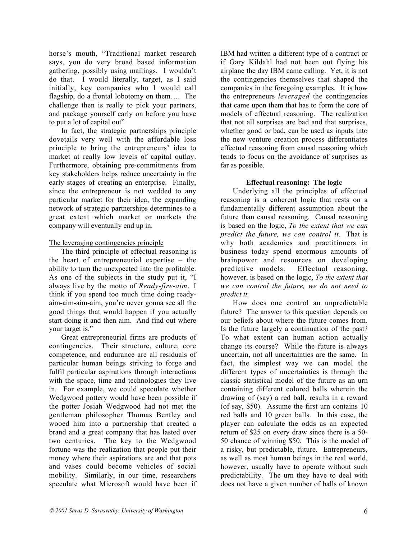horse's mouth, "Traditional market research says, you do very broad based information gathering, possibly using mailings. I wouldn't do that. I would literally, target, as I said initially, key companies who I would call flagship, do a frontal lobotomy on them…. The challenge then is really to pick your partners, and package yourself early on before you have to put a lot of capital out"

In fact, the strategic partnerships principle dovetails very well with the affordable loss principle to bring the entrepreneurs' idea to market at really low levels of capital outlay. Furthermore, obtaining pre-commitments from key stakeholders helps reduce uncertainty in the early stages of creating an enterprise. Finally, since the entrepreneur is not wedded to any particular market for their idea, the expanding network of strategic partnerships determines to a great extent which market or markets the company will eventually end up in.

### The leveraging contingencies principle

The third principle of effectual reasoning is the heart of entrepreneurial expertise – the ability to turn the unexpected into the profitable. As one of the subjects in the study put it, "I always live by the motto of *Ready-fire-aim*. I think if you spend too much time doing readyaim-aim-aim-aim, you're never gonna see all the good things that would happen if you actually start doing it and then aim. And find out where your target is."

Great entrepreneurial firms are products of contingencies. Their structure, culture, core competence, and endurance are all residuals of particular human beings striving to forge and fulfil particular aspirations through interactions with the space, time and technologies they live in. For example, we could speculate whether Wedgwood pottery would have been possible if the potter Josiah Wedgwood had not met the gentleman philosopher Thomas Bentley and wooed him into a partnership that created a brand and a great company that has lasted over two centuries. The key to the Wedgwood fortune was the realization that people put their money where their aspirations are and that pots and vases could become vehicles of social mobility. Similarly, in our time, researchers speculate what Microsoft would have been if IBM had written a different type of a contract or if Gary Kildahl had not been out flying his airplane the day IBM came calling. Yet, it is not the contingencies themselves that shaped the companies in the foregoing examples. It is how the entrepreneurs *leveraged* the contingencies that came upon them that has to form the core of models of effectual reasoning. The realization that not all surprises are bad and that surprises, whether good or bad, can be used as inputs into the new venture creation process differentiates effectual reasoning from causal reasoning which tends to focus on the avoidance of surprises as far as possible.

## **Effectual reasoning: The logic**

Underlying all the principles of effectual reasoning is a coherent logic that rests on a fundamentally different assumption about the future than causal reasoning. Causal reasoning is based on the logic, *To the extent that we can predict the future, we can control it.* That is why both academics and practitioners in business today spend enormous amounts of brainpower and resources on developing predictive models. Effectual reasoning, however, is based on the logic, *To the extent that we can control the future, we do not need to predict it.*

How does one control an unpredictable future? The answer to this question depends on our beliefs about where the future comes from. Is the future largely a continuation of the past? To what extent can human action actually change its course? While the future is always uncertain, not all uncertainties are the same. In fact, the simplest way we can model the different types of uncertainties is through the classic statistical model of the future as an urn containing different colored balls wherein the drawing of (say) a red ball, results in a reward (of say, \$50). Assume the first urn contains 10 red balls and 10 green balls. In this case, the player can calculate the odds as an expected return of \$25 on every draw since there is a 50- 50 chance of winning \$50. This is the model of a risky, but predictable, future. Entrepreneurs, as well as most human beings in the real world, however, usually have to operate without such predictability. The urn they have to deal with does not have a given number of balls of known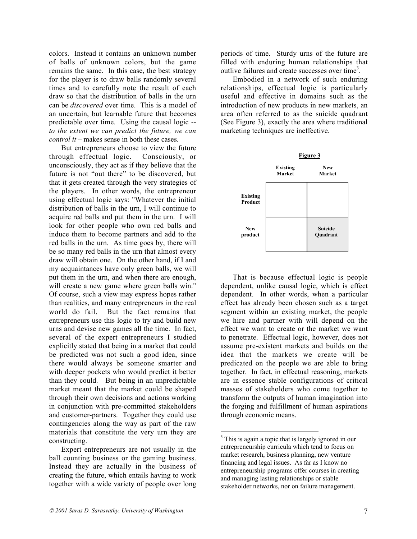colors. Instead it contains an unknown number of balls of unknown colors, but the game remains the same. In this case, the best strategy for the player is to draw balls randomly several times and to carefully note the result of each draw so that the distribution of balls in the urn can be *discovered* over time. This is a model of an uncertain, but learnable future that becomes predictable over time. Using the causal logic - *to the extent we can predict the future, we can control it* – makes sense in both these cases.

But entrepreneurs choose to view the future through effectual logic. Consciously, or unconsciously, they act as if they believe that the future is not "out there" to be discovered, but that it gets created through the very strategies of the players. In other words, the entrepreneur using effectual logic says: "Whatever the initial distribution of balls in the urn, I will continue to acquire red balls and put them in the urn. I will look for other people who own red balls and induce them to become partners and add to the red balls in the urn. As time goes by, there will be so many red balls in the urn that almost every draw will obtain one. On the other hand, if I and my acquaintances have only green balls, we will put them in the urn, and when there are enough, will create a new game where green balls win." Of course, such a view may express hopes rather than realities, and many entrepreneurs in the real world do fail. But the fact remains that entrepreneurs use this logic to try and build new urns and devise new games all the time. In fact, several of the expert entrepreneurs I studied explicitly stated that being in a market that could be predicted was not such a good idea, since there would always be someone smarter and with deeper pockets who would predict it better than they could. But being in an unpredictable market meant that the market could be shaped through their own decisions and actions working in conjunction with pre-committed stakeholders and customer-partners. Together they could use contingencies along the way as part of the raw materials that constitute the very urn they are constructing.

Expert entrepreneurs are not usually in the ball counting business or the gaming business. Instead they are actually in the business of creating the future, which entails having to work together with a wide variety of people over long periods of time. Sturdy urns of the future are filled with enduring human relationships that outlive failures and create successes over time<sup>3</sup>.

Embodied in a network of such enduring relationships, effectual logic is particularly useful and effective in domains such as the introduction of new products in new markets, an area often referred to as the suicide quadrant (See Figure 3), exactly the area where traditional marketing techniques are ineffective.



That is because effectual logic is people dependent, unlike causal logic, which is effect dependent. In other words, when a particular effect has already been chosen such as a target segment within an existing market, the people we hire and partner with will depend on the effect we want to create or the market we want to penetrate. Effectual logic, however, does not assume pre-existent markets and builds on the idea that the markets we create will be predicated on the people we are able to bring together. In fact, in effectual reasoning, markets are in essence stable configurations of critical masses of stakeholders who come together to transform the outputs of human imagination into the forging and fulfillment of human aspirations through economic means.

 $\overline{a}$ 

<sup>&</sup>lt;sup>3</sup> This is again a topic that is largely ignored in our entrepreneurship curricula which tend to focus on market research, business planning, new venture financing and legal issues. As far as I know no entrepreneurship programs offer courses in creating and managing lasting relationships or stable stakeholder networks, nor on failure management.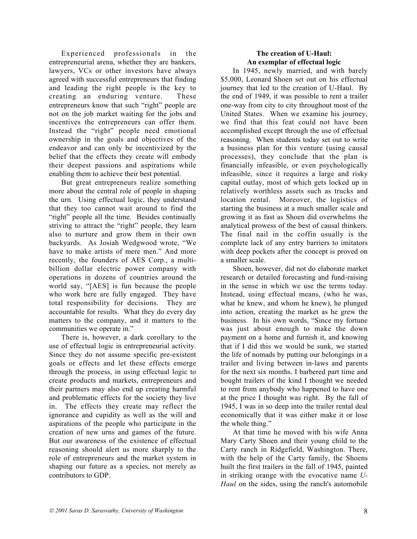Experienced professionals in the entrepreneurial arena, whether they are bankers, lawyers, VCs or other investors have always agreed with successful entrepreneurs that finding and leading the right people is the key to creating an enduring venture. These entrepreneurs know that such "right" people are not on the job market waiting for the jobs and incentives the entrepreneurs can offer them. Instead the "right" people need emotional ownership in the goals and objectives of the endeavor and can only be incentivized by the belief that the effects they create will embody their deepest passions and aspirations while enabling them to achieve their best potential.

But great entrepreneurs realize something more about the central role of people in shaping the urn. Using effectual logic, they understand that they too cannot wait around to find the "right" people all the time. Besides continually striving to attract the "right" people, they learn also to nurture and grow them in their own backyards. As Josiah Wedgwood wrote, "We have to make artists of mere men." And more recently, the founders of AES Corp., a multibillion dollar electric power company with operations in dozens of countries around the world say, "[AES] is fun because the people who work here are fully engaged. They have total responsibility for decisions. They are accountable for results. What they do every day matters to the company, and it matters to the communities we operate in."

There is, however, a dark corollary to the use of effectual logic in entrepreneurial activity. Since they do not assume specific pre-existent goals or effects and let these effects emerge through the process, in using effectual logic to create products and markets, entrepreneurs and their partners may also end up creating harmful and problematic effects for the society they live in. The effects they create may reflect the ignorance and cupidity as well as the will and aspirations of the people who participate in the creation of new urns and games of the future. But our awareness of the existence of effectual reasoning should alert us more sharply to the role of entrepreneurs and the market system in shaping our future as a species, not merely as contributors to GDP.

## **The creation of U-Haul: An exemplar of effectual logic**

In 1945, newly married, and with barely \$5,000, Leonard Shoen set out on his effectual journey that led to the creation of U-Haul. By the end of 1949, it was possible to rent a trailer one-way from city to city throughout most of the United States. When we examine his journey, we find that this feat could not have been accomplished except through the use of effectual reasoning. When students today set out to write a business plan for this venture (using causal processes), they conclude that the plan is financially infeasible, or even psychologically infeasible, since it requires a large and risky capital outlay, most of which gets locked up in relatively worthless assets such as trucks and location rental. Moreover, the logistics of starting the business at a much smaller scale and growing it as fast as Shoen did overwhelms the analytical prowess of the best of causal thinkers. The final nail in the coffin usually is the complete lack of any entry barriers to imitators with deep pockets after the concept is proved on a smaller scale.

Shoen, however, did not do elaborate market research or detailed forecasting and fund-raising in the sense in which we use the terms today. Instead, using effectual means, (who he was, what he knew, and whom he knew), he plunged into action, creating the market as he grew the business. In his own words, "Since my fortune was just about enough to make the down payment on a home and furnish it, and knowing that if I did this we would be sunk, we started the life of nomads by putting our belongings in a trailer and living between in-laws and parents for the next six months. I barbered part time and bought trailers of the kind I thought we needed to rent from anybody who happened to have one at the price I thought was right. By the fall of 1945, I was in so deep into the trailer rental deal economically that it was either make it or lose the whole thing."

At that time he moved with his wife Anna Mary Carty Shoen and their young child to the Carty ranch in Ridgefield, Washington. There, with the help of the Carty family, the Shoens built the first trailers in the fall of 1945, painted in striking orange with the evocative name *U-Haul* on the sides, using the ranch's automobile